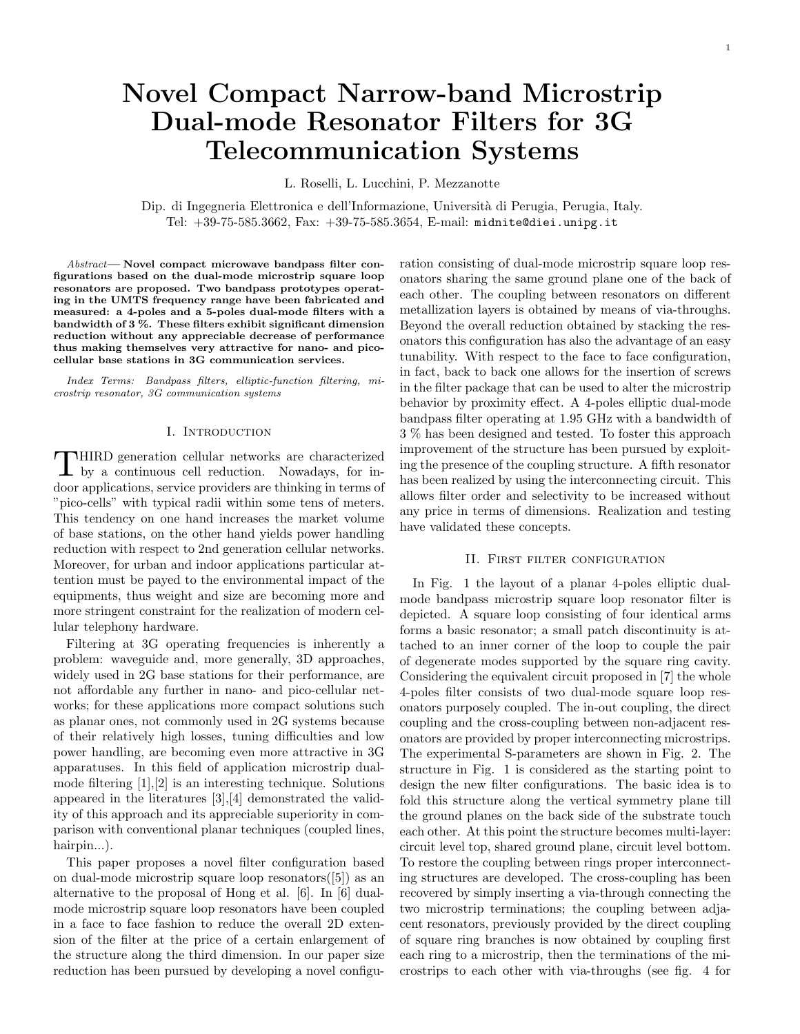# Novel Compact Narrow-band Microstrip Dual-mode Resonator Filters for 3G Telecommunication Systems

L. Roselli, L. Lucchini, P. Mezzanotte

Dip. di Ingegneria Elettronica e dell'Informazione, Università di Perugia, Perugia, Italy. Tel: +39-75-585.3662, Fax: +39-75-585.3654, E-mail: midnite@diei.unipg.it

Abstract— Novel compact microwave bandpass filter configurations based on the dual-mode microstrip square loop resonators are proposed. Two bandpass prototypes operating in the UMTS frequency range have been fabricated and measured: a 4-poles and a 5-poles dual-mode filters with a bandwidth of 3 %. These filters exhibit significant dimension reduction without any appreciable decrease of performance thus making themselves very attractive for nano- and picocellular base stations in 3G communication services.

Index Terms: Bandpass filters, elliptic-function filtering, microstrip resonator, 3G communication systems

#### I. Introduction

 $\prod$  HIRD generation cellular networks are characterized by a continuous cell reduction. Nowadays, for in-HIRD generation cellular networks are characterized door applications, service providers are thinking in terms of "pico-cells" with typical radii within some tens of meters. This tendency on one hand increases the market volume of base stations, on the other hand yields power handling reduction with respect to 2nd generation cellular networks. Moreover, for urban and indoor applications particular attention must be payed to the environmental impact of the equipments, thus weight and size are becoming more and more stringent constraint for the realization of modern cellular telephony hardware.

Filtering at 3G operating frequencies is inherently a problem: waveguide and, more generally, 3D approaches, widely used in 2G base stations for their performance, are not affordable any further in nano- and pico-cellular networks; for these applications more compact solutions such as planar ones, not commonly used in 2G systems because of their relatively high losses, tuning difficulties and low power handling, are becoming even more attractive in 3G apparatuses. In this field of application microstrip dualmode filtering [1],[2] is an interesting technique. Solutions appeared in the literatures [3],[4] demonstrated the validity of this approach and its appreciable superiority in comparison with conventional planar techniques (coupled lines, hairpin...).

This paper proposes a novel filter configuration based on dual-mode microstrip square loop resonators([5]) as an alternative to the proposal of Hong et al. [6]. In [6] dualmode microstrip square loop resonators have been coupled in a face to face fashion to reduce the overall 2D extension of the filter at the price of a certain enlargement of the structure along the third dimension. In our paper size reduction has been pursued by developing a novel configuration consisting of dual-mode microstrip square loop resonators sharing the same ground plane one of the back of each other. The coupling between resonators on different metallization layers is obtained by means of via-throughs. Beyond the overall reduction obtained by stacking the resonators this configuration has also the advantage of an easy tunability. With respect to the face to face configuration, in fact, back to back one allows for the insertion of screws in the filter package that can be used to alter the microstrip behavior by proximity effect. A 4-poles elliptic dual-mode bandpass filter operating at 1.95 GHz with a bandwidth of 3 % has been designed and tested. To foster this approach improvement of the structure has been pursued by exploiting the presence of the coupling structure. A fifth resonator has been realized by using the interconnecting circuit. This allows filter order and selectivity to be increased without any price in terms of dimensions. Realization and testing have validated these concepts.

#### II. FIRST FILTER CONFIGURATION

In Fig. 1 the layout of a planar 4-poles elliptic dualmode bandpass microstrip square loop resonator filter is depicted. A square loop consisting of four identical arms forms a basic resonator; a small patch discontinuity is attached to an inner corner of the loop to couple the pair of degenerate modes supported by the square ring cavity. Considering the equivalent circuit proposed in [7] the whole 4-poles filter consists of two dual-mode square loop resonators purposely coupled. The in-out coupling, the direct coupling and the cross-coupling between non-adjacent resonators are provided by proper interconnecting microstrips. The experimental S-parameters are shown in Fig. 2. The structure in Fig. 1 is considered as the starting point to design the new filter configurations. The basic idea is to fold this structure along the vertical symmetry plane till the ground planes on the back side of the substrate touch each other. At this point the structure becomes multi-layer: circuit level top, shared ground plane, circuit level bottom. To restore the coupling between rings proper interconnecting structures are developed. The cross-coupling has been recovered by simply inserting a via-through connecting the two microstrip terminations; the coupling between adjacent resonators, previously provided by the direct coupling of square ring branches is now obtained by coupling first each ring to a microstrip, then the terminations of the microstrips to each other with via-throughs (see fig. 4 for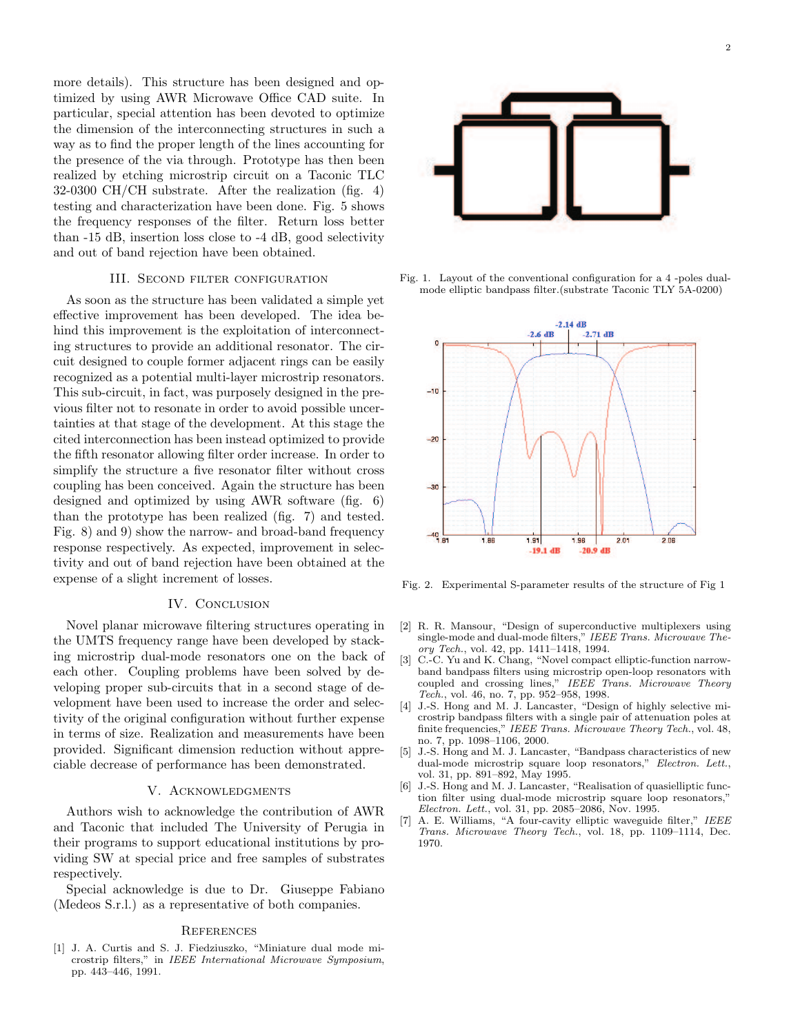more details). This structure has been designed and optimized by using AWR Microwave Office CAD suite. In particular, special attention has been devoted to optimize the dimension of the interconnecting structures in such a way as to find the proper length of the lines accounting for the presence of the via through. Prototype has then been realized by etching microstrip circuit on a Taconic TLC 32-0300 CH/CH substrate. After the realization (fig. 4) testing and characterization have been done. Fig. 5 shows the frequency responses of the filter. Return loss better than -15 dB, insertion loss close to -4 dB, good selectivity and out of band rejection have been obtained.

#### III. Second filter configuration

As soon as the structure has been validated a simple yet effective improvement has been developed. The idea behind this improvement is the exploitation of interconnecting structures to provide an additional resonator. The circuit designed to couple former adjacent rings can be easily recognized as a potential multi-layer microstrip resonators. This sub-circuit, in fact, was purposely designed in the previous filter not to resonate in order to avoid possible uncertainties at that stage of the development. At this stage the cited interconnection has been instead optimized to provide the fifth resonator allowing filter order increase. In order to simplify the structure a five resonator filter without cross coupling has been conceived. Again the structure has been designed and optimized by using AWR software (fig. 6) than the prototype has been realized (fig. 7) and tested. Fig. 8) and 9) show the narrow- and broad-band frequency response respectively. As expected, improvement in selectivity and out of band rejection have been obtained at the expense of a slight increment of losses.

## IV. CONCLUSION

Novel planar microwave filtering structures operating in the UMTS frequency range have been developed by stacking microstrip dual-mode resonators one on the back of each other. Coupling problems have been solved by developing proper sub-circuits that in a second stage of development have been used to increase the order and selectivity of the original configuration without further expense in terms of size. Realization and measurements have been provided. Significant dimension reduction without appreciable decrease of performance has been demonstrated.

### V. Acknowledgments

Authors wish to acknowledge the contribution of AWR and Taconic that included The University of Perugia in their programs to support educational institutions by providing SW at special price and free samples of substrates respectively.

Special acknowledge is due to Dr. Giuseppe Fabiano (Medeos S.r.l.) as a representative of both companies.

#### **REFERENCES**

[1] J. A. Curtis and S. J. Fiedziuszko, "Miniature dual mode microstrip filters," in IEEE International Microwave Symposium, pp. 443–446, 1991.



Fig. 1. Layout of the conventional configuration for a 4 -poles dualmode elliptic bandpass filter.(substrate Taconic TLY 5A-0200)



Fig. 2. Experimental S-parameter results of the structure of Fig 1

- [2] R. R. Mansour, "Design of superconductive multiplexers using single-mode and dual-mode filters," IEEE Trans. Microwave Theory Tech., vol. 42, pp. 1411–1418, 1994.
- [3] C.-C. Yu and K. Chang, "Novel compact elliptic-function narrowband bandpass filters using microstrip open-loop resonators with coupled and crossing lines," IEEE Trans. Microwave Theory Tech., vol. 46, no. 7, pp. 952–958, 1998.
- [4] J.-S. Hong and M. J. Lancaster, "Design of highly selective microstrip bandpass filters with a single pair of attenuation poles at finite frequencies," IEEE Trans. Microwave Theory Tech., vol. 48, no. 7, pp. 1098–1106, 2000.
- [5] J.-S. Hong and M. J. Lancaster, "Bandpass characteristics of new dual-mode microstrip square loop resonators," Electron. Lett., vol. 31, pp. 891–892, May 1995.
- [6] J.-S. Hong and M. J. Lancaster, "Realisation of quasielliptic function filter using dual-mode microstrip square loop resonators," Electron. Lett., vol. 31, pp. 2085–2086, Nov. 1995.
- [7] A. E. Williams, "A four-cavity elliptic waveguide filter," IEEE Trans. Microwave Theory Tech., vol. 18, pp. 1109–1114, Dec. 1970.